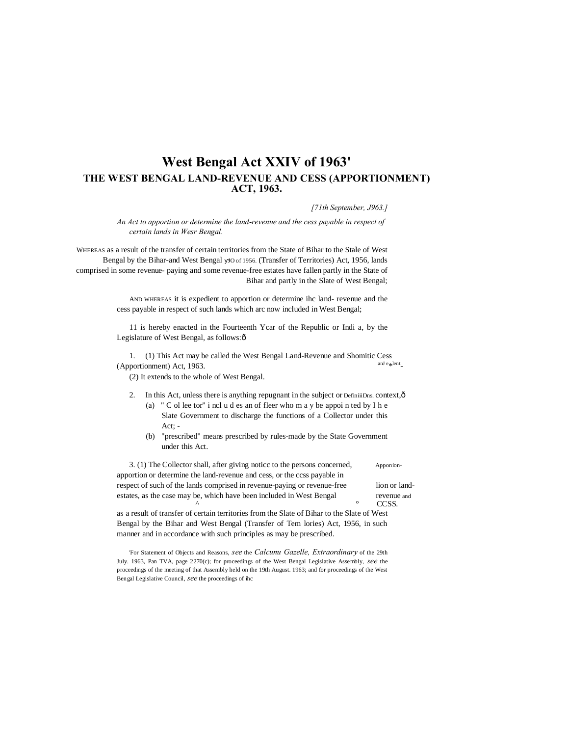# **West Bengal Act XXIV of 1963' THE WEST BENGAL LAND-REVENUE AND CESS (APPORTIONMENT) ACT, 1963.**

*[71th September, J963.]*

*An Act to apportion or determine the land-revenue and the cess payable in respect of certain lands in Wesr Bengal.*

WHEREAS as a result of the transfer of certain territories from the State of Bihar to the Stale of West Bengal by the Bihar-and West Bengal JO of 1956. (Transfer of Territories) Act, 1956, lands comprised in some revenue- paying and some revenue-free estates have fallen partly in the State of Bihar and partly in the Slate of West Bengal;

> AND WHEREAS it is expedient to apportion or determine ihc land- revenue and the cess payable in respect of such lands which arc now included in West Bengal;

> 11 is hereby enacted in the Fourteenth Ycar of the Republic or Indi a, by the Legislature of West Bengal, as follows: ô

1. (1) This Act may be called the West Bengal Land-Revenue and Shomitic Cess and  $\epsilon_{\rm sh}$  and  $\epsilon_{\rm sh}$  $(Apportionment)$  Act, 1963.

(2) It extends to the whole of West Bengal.

- 2. In this Act, unless there is anything repugnant in the subject or DefiniiiDns. context, $\hat{\sigma}$ (a) " C ol lee tor" i ncl u d es an of fleer who m a y be appoi n ted by I h e
	- Slate Government to discharge the functions of a Collector under this Act; -
	- (b) "prescribed" means prescribed by rules-made by the State Government under this Act.

3. (1) The Collector shall, after giving notice to the persons concerned, Apponionapportion or determine the land-revenue and cess, or the ccss payable in respect of such of the lands comprised in revenue-paying or revenue-free lion or landestates, as the case may be, which have been included in West Bengal revenue and  $\sim$  CCSS.

as a result of transfer of certain territories from the Slate of Bihar to the Slate of West Bengal by the Bihar and West Bengal (Transfer of Tem lories) Act, 1956, in such manner and in accordance with such principles as may be prescribed.

'For Statement of Objects and Reasons, *see* the *Calcunu Gazelle, Extraordinary* of the 29th July. 1963, Pan TVA, page 2270(c); for proceedings of the West Bengal Legislative Assembly, *see* the proceedings of the meeting of that Assembly held on the 19th August. 1963; and for proceedings of the West Bengal Legislative Council, *see* the proceedings of ihc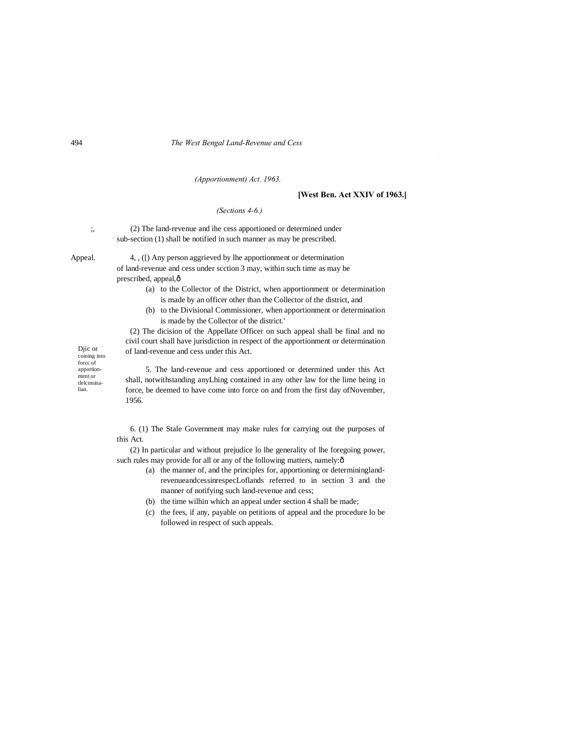#### 494 *The West Bengal Land-Revenue and Cess*

## *(Apportionment) Act. 1963.*

## **[West Ben. Act XXIV of 1963.]**

I

#### *(Sections 4-6.)*

;, (2) The land-revenue and ihe cess apportioned or determined under sub-section (1) shall be notified in such manner as may be prescribed.

Appeal. 4, , ([) Any person aggrieved by lhe apportionment or determination of land-revenue and cess under scction 3 may, within such time as may be prescribed, appeal, $\hat{o}$ 

- (a) to the Collector of the District, when apportionment or determination is made by an officer other than the Collector of the district, and
- (b) to the Divisional Commissioner, when apportionment or determination is made by the Collector of the district.'

(2) The dicision of the Appellate Officer on such appeal shall be final and no civil court shall have jurisdiction in respect of the apportionment or determination of land-revenue and cess under this Act.

Djic or coining into forcc of apportionment or tlelcrminalian.

5. The land-revenue and cess apportioned or determined under this Act shall, notwithstanding anyLhing contained in any other law for the lime being in force, be deemed to have come into force on and from the first day ofNovember, 1956.

6. (1) The Stale Government may make rules for carrying out the purposes of this Act.

(2) In particular and without prejudice lo lhe generality of lhe foregoing power, such rules may provide for all or any of the following matters, namely: $\delta$ 

- (a) the manner of, and the principles for, apportioning or determininglandrevenueandcessinrespecLoflands referred to in section 3 and the manner of notifying such land-revenue and cess;
- (b) the time wilhin which an appeal under section 4 shall be made;
- (c) the fees, if any, payable on petitions of appeal and the procedure lo be followed in respect of such appeals.